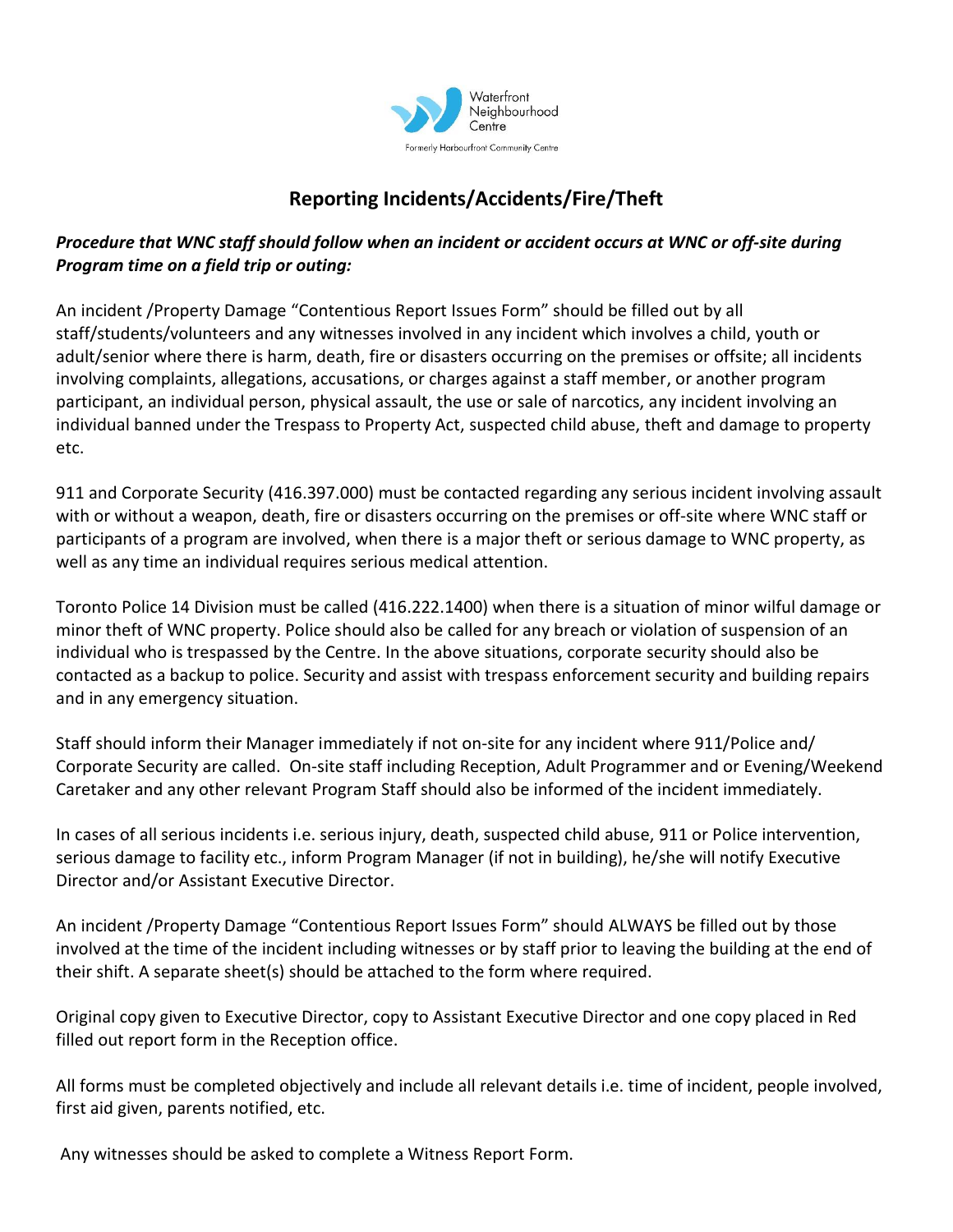

## **Reporting Incidents/Accidents/Fire/Theft**

## *Procedure that WNC staff should follow when an incident or accident occurs at WNC or off-site during Program time on a field trip or outing:*

An incident /Property Damage "Contentious Report Issues Form" should be filled out by all staff/students/volunteers and any witnesses involved in any incident which involves a child, youth or adult/senior where there is harm, death, fire or disasters occurring on the premises or offsite; all incidents involving complaints, allegations, accusations, or charges against a staff member, or another program participant, an individual person, physical assault, the use or sale of narcotics, any incident involving an individual banned under the Trespass to Property Act, suspected child abuse, theft and damage to property etc.

911 and Corporate Security (416.397.000) must be contacted regarding any serious incident involving assault with or without a weapon, death, fire or disasters occurring on the premises or off-site where WNC staff or participants of a program are involved, when there is a major theft or serious damage to WNC property, as well as any time an individual requires serious medical attention.

Toronto Police 14 Division must be called (416.222.1400) when there is a situation of minor wilful damage or minor theft of WNC property. Police should also be called for any breach or violation of suspension of an individual who is trespassed by the Centre. In the above situations, corporate security should also be contacted as a backup to police. Security and assist with trespass enforcement security and building repairs and in any emergency situation.

Staff should inform their Manager immediately if not on-site for any incident where 911/Police and/ Corporate Security are called. On-site staff including Reception, Adult Programmer and or Evening/Weekend Caretaker and any other relevant Program Staff should also be informed of the incident immediately.

In cases of all serious incidents i.e. serious injury, death, suspected child abuse, 911 or Police intervention, serious damage to facility etc., inform Program Manager (if not in building), he/she will notify Executive Director and/or Assistant Executive Director.

An incident /Property Damage "Contentious Report Issues Form" should ALWAYS be filled out by those involved at the time of the incident including witnesses or by staff prior to leaving the building at the end of their shift. A separate sheet(s) should be attached to the form where required.

Original copy given to Executive Director, copy to Assistant Executive Director and one copy placed in Red filled out report form in the Reception office.

All forms must be completed objectively and include all relevant details i.e. time of incident, people involved, first aid given, parents notified, etc.

Any witnesses should be asked to complete a Witness Report Form.